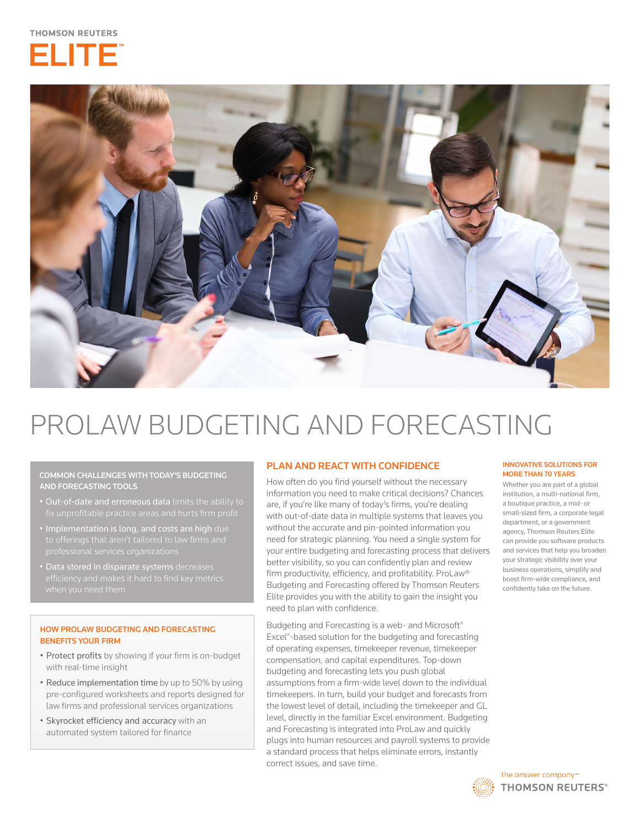



# PROLAW BUDGETING AND FORECASTING

COMMON CHALLENGES WITH TODAY'S BUDGETING AND FORECASTING TOOLS

- Out-of-date and erroneous data limits the ability to
- Implementation is long, and costs are high due
- Data stored in disparate systems decreases

## HOW PROLAW BUDGETING AND FORECASTING BENEFITS YOUR FIRM

- Protect profits by showing if your firm is on-budget with real-time insight
- Reduce implementation time by up to 50% by using pre-configured worksheets and reports designed for law firms and professional services organizations
- Skyrocket efficiency and accuracy with an automated system tailored for finance

# PLAN AND REACT WITH CONFIDENCE

How often do you find yourself without the necessary information you need to make critical decisions? Chances are, if you're like many of today's firms, you're dealing with out-of-date data in multiple systems that leaves you without the accurate and pin-pointed information you need for strategic planning. You need a single system for your entire budgeting and forecasting process that delivers better visibility, so you can confidently plan and review firm productivity, efficiency, and profitability. ProLaw® Budgeting and Forecasting offered by Thomson Reuters Elite provides you with the ability to gain the insight you need to plan with confidence.

Budgeting and Forecasting is a web- and Microsoft® Excel®-based solution for the budgeting and forecasting of operating expenses, timekeeper revenue, timekeeper compensation, and capital expenditures. Top-down budgeting and forecasting lets you push global assumptions from a firm-wide level down to the individual timekeepers. In turn, build your budget and forecasts from the lowest level of detail, including the timekeeper and GL level, directly in the familiar Excel environment. Budgeting and Forecasting is integrated into ProLaw and quickly plugs into human resources and payroll systems to provide a standard process that helps eliminate errors, instantly correct issues, and save time.

#### INNOVATIVE SOLUTIONS FOR MORE THAN 70 YEARS

Whether you are part of a global institution, a multi-national firm, a boutique practice, a mid- or small-sized firm, a corporate legal department, or a government agency, Thomson Reuters Elite can provide you software products and services that help you broaden your strategic visibility over your business operations, simplify and boost firm-wide compliance, and confidently take on the future.

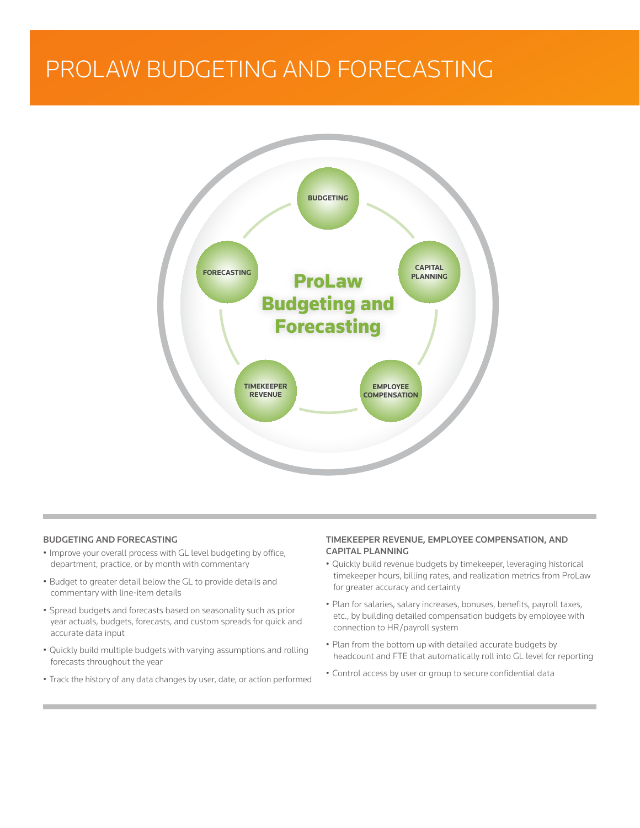# PROLAW BUDGETING AND FORECASTING



# BUDGETING AND FORECASTING

- Improve your overall process with GL level budgeting by office, department, practice, or by month with commentary
- Budget to greater detail below the GL to provide details and commentary with line-item details
- Spread budgets and forecasts based on seasonality such as prior year actuals, budgets, forecasts, and custom spreads for quick and accurate data input
- Quickly build multiple budgets with varying assumptions and rolling forecasts throughout the year
- Track the history of any data changes by user, date, or action performed

#### TIMEKEEPER REVENUE, EMPLOYEE COMPENSATION, AND CAPITAL PLANNING

- Quickly build revenue budgets by timekeeper, leveraging historical timekeeper hours, billing rates, and realization metrics from ProLaw for greater accuracy and certainty
- Plan for salaries, salary increases, bonuses, benefits, payroll taxes, etc., by building detailed compensation budgets by employee with connection to HR/payroll system
- Plan from the bottom up with detailed accurate budgets by headcount and FTE that automatically roll into GL level for reporting
- Control access by user or group to secure confidential data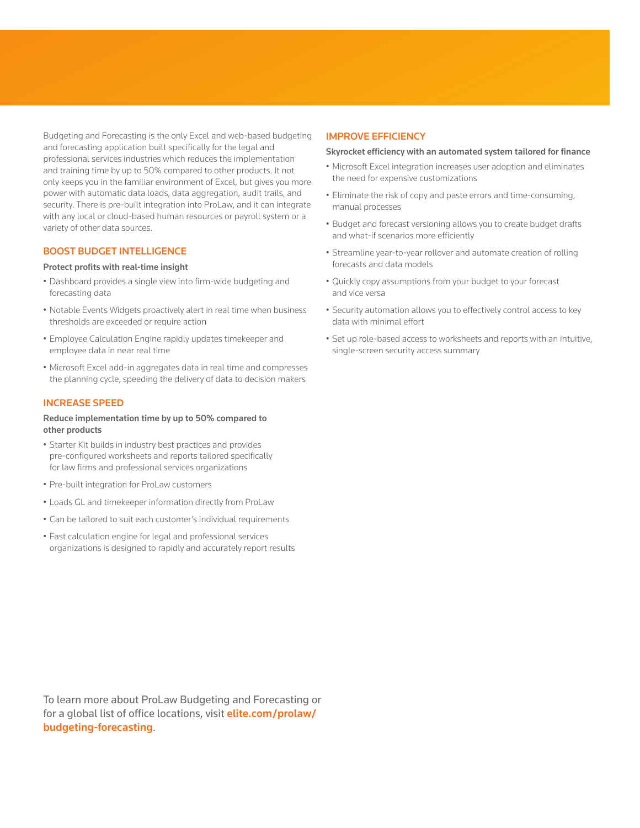Budgeting and Forecasting is the only Excel and web-based budgeting and forecasting application built specifically for the legal and professional services industries which reduces the implementation and training time by up to 50% compared to other products. It not only keeps you in the familiar environment of Excel, but gives you more power with automatic data loads, data aggregation, audit trails, and security. There is pre-built integration into ProLaw, and it can integrate with any local or cloud-based human resources or payroll system or a variety of other data sources.

#### BOOST BUDGET INTELLIGENCE

#### Protect profits with real-time insight

- Dashboard provides a single view into firm-wide budgeting and forecasting data
- Notable Events Widgets proactively alert in real time when business thresholds are exceeded or require action
- Employee Calculation Engine rapidly updates timekeeper and employee data in near real time
- Microsoft Excel add-in aggregates data in real time and compresses the planning cycle, speeding the delivery of data to decision makers

## INCREASE SPEED

#### Reduce implementation time by up to 50% compared to other products

- Starter Kit builds in industry best practices and provides pre-configured worksheets and reports tailored specifically for law firms and professional services organizations
- Pre-built integration for ProLaw customers
- Loads GL and timekeeper information directly from ProLaw
- Can be tailored to suit each customer's individual requirements
- Fast calculation engine for legal and professional services organizations is designed to rapidly and accurately report results

#### IMPROVE EFFICIENCY

#### Skyrocket efficiency with an automated system tailored for finance

- Microsoft Excel integration increases user adoption and eliminates the need for expensive customizations
- Eliminate the risk of copy and paste errors and time-consuming, manual processes
- Budget and forecast versioning allows you to create budget drafts and what-if scenarios more efficiently
- Streamline year-to-year rollover and automate creation of rolling forecasts and data models
- Quickly copy assumptions from your budget to your forecast and vice versa
- Security automation allows you to effectively control access to key data with minimal effort
- Set up role-based access to worksheets and reports with an intuitive, single-screen security access summary

To learn more about ProLaw Budgeting and Forecasting or for a global list of office locations, visit **[elite.com/prolaw/](http://elite.com/prolaw/budgeting-forecasting)** [budgeting-forecasting](http://elite.com/prolaw/budgeting-forecasting).